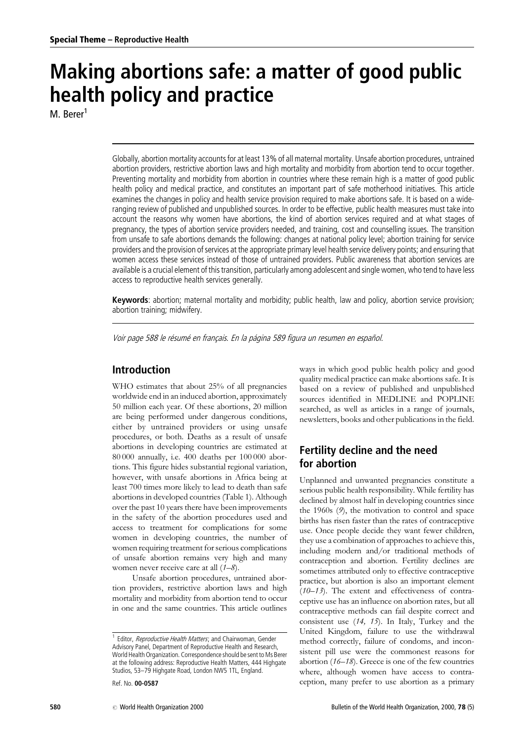# Making abortions safe: a matter of good public health policy and practice

M. Berer<sup>1</sup>

Globally, abortion mortality accounts for at least 13% of all maternal mortality. Unsafe abortion procedures, untrained abortion providers, restrictive abortion laws and high mortality and morbidity from abortion tend to occur together. Preventing mortality and morbidity from abortion in countries where these remain high is a matter of good public health policy and medical practice, and constitutes an important part of safe motherhood initiatives. This article examines the changes in policy and health service provision required to make abortions safe. It is based on a wideranging review of published and unpublished sources. In order to be effective, public health measures must take into account the reasons why women have abortions, the kind of abortion services required and at what stages of pregnancy, the types of abortion service providers needed, and training, cost and counselling issues. The transition from unsafe to safe abortions demands the following: changes at national policy level; abortion training for service providers and the provision of services at the appropriate primary level health service delivery points; and ensuring that women access these services instead of those of untrained providers. Public awareness that abortion services are available is a crucial element of this transition, particularly among adolescent and single women, who tend to have less access to reproductive health services generally.

Keywords: abortion; maternal mortality and morbidity; public health, law and policy, abortion service provision; abortion training; midwifery.

Voir page 588 le résumé en français. En la página 589 figura un resumen en español.

## **Introduction**

WHO estimates that about 25% of all pregnancies worldwide end in an induced abortion, approximately 50 million each year. Of these abortions, 20 million are being performed under dangerous conditions, either by untrained providers or using unsafe procedures, or both. Deaths as a result of unsafe abortions in developing countries are estimated at 80 000 annually, i.e. 400 deaths per 100 000 abortions. This figure hides substantial regional variation, however, with unsafe abortions in Africa being at least 700 times more likely to lead to death than safe abortions in developed countries (Table 1). Although over the past 10 years there have been improvements in the safety of the abortion procedures used and access to treatment for complications for some women in developing countries, the number of women requiring treatment for serious complications of unsafe abortion remains very high and many women never receive care at all  $(1–8)$ .

Unsafe abortion procedures, untrained abortion providers, restrictive abortion laws and high mortality and morbidity from abortion tend to occur in one and the same countries. This article outlines

Ref. No. 00-0587

© World Health Organization 2000

ways in which good public health policy and good quality medical practice can make abortions safe. It is based on a review of published and unpublished sources identified in MEDLINE and POPLINE searched, as well as articles in a range of journals, newsletters, books and other publications in the field.

# Fertility decline and the need for abortion

Unplanned and unwanted pregnancies constitute a serious public health responsibility. While fertility has declined by almost half in developing countries since the 1960s  $(9)$ , the motivation to control and space births has risen faster than the rates of contraceptive use. Once people decide they want fewer children, they use a combination of approaches to achieve this, including modern and/or traditional methods of contraception and abortion. Fertility declines are sometimes attributed only to effective contraceptive practice, but abortion is also an important element  $(10-13)$ . The extent and effectiveness of contraceptive use has an influence on abortion rates, but all contraceptive methods can fail despite correct and consistent use (14, 15). In Italy, Turkey and the United Kingdom, failure to use the withdrawal method correctly, failure of condoms, and inconsistent pill use were the commonest reasons for abortion  $(16-18)$ . Greece is one of the few countries where, although women have access to contraception, many prefer to use abortion as a primary

<sup>&</sup>lt;sup>1</sup> Editor, Reproductive Health Matters; and Chairwoman, Gender Advisory Panel, Department of Reproductive Health and Research, World Health Organization. Correspondence should be sent to Ms Berer at the following address: Reproductive Health Matters, 444 Highgate Studios, 53-79 Highgate Road, London NW5 1TL, England.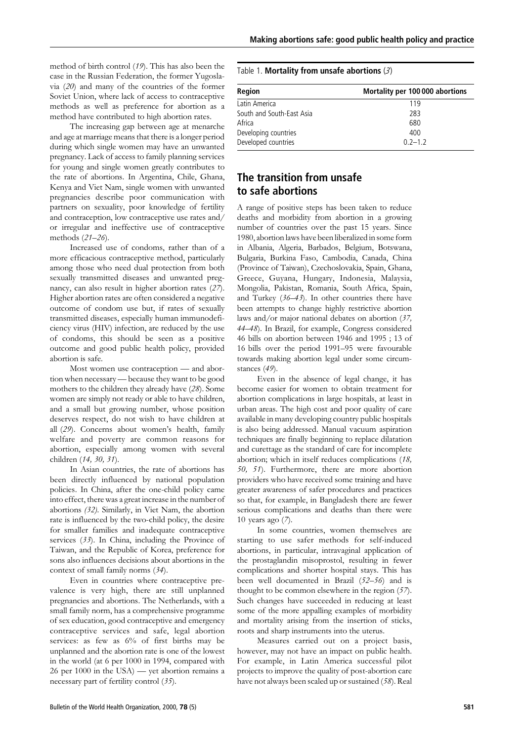method of birth control (19). This has also been the case in the Russian Federation, the former Yugoslavia  $(20)$  and many of the countries of the former Soviet Union, where lack of access to contraceptive methods as well as preference for abortion as a method have contributed to high abortion rates.

The increasing gap between age at menarche and age at marriage means that there is a longer period during which single women may have an unwanted pregnancy. Lack of access to family planning services for young and single women greatly contributes to the rate of abortions. In Argentina, Chile, Ghana, Kenya and Viet Nam, single women with unwanted pregnancies describe poor communication with partners on sexuality, poor knowledge of fertility and contraception, low contraceptive use rates and/ or irregular and ineffective use of contraceptive methods (21-26).

Increased use of condoms, rather than of a more efficacious contraceptive method, particularly among those who need dual protection from both sexually transmitted diseases and unwanted pregnancy, can also result in higher abortion rates (27). Higher abortion rates are often considered a negative outcome of condom use but, if rates of sexually transmitted diseases, especially human immunodeficiency virus (HIV) infection, are reduced by the use of condoms, this should be seen as a positive outcome and good public health policy, provided abortion is safe.

Most women use contraception — and abortion when necessary - because they want to be good mothers to the children they already have (28). Some women are simply not ready or able to have children, and a small but growing number, whose position deserves respect, do not wish to have children at all (29). Concerns about women's health, family welfare and poverty are common reasons for abortion, especially among women with several children (14, 30, 31).

In Asian countries, the rate of abortions has been directly influenced by national population policies. In China, after the one-child policy came into effect, there was a great increase in the number of abortions (32). Similarly, in Viet Nam, the abortion rate is influenced by the two-child policy, the desire for smaller families and inadequate contraceptive services  $(33)$ . In China, including the Province of Taiwan, and the Republic of Korea, preference for sons also influences decisions about abortions in the context of small family norms (34).

Even in countries where contraceptive prevalence is very high, there are still unplanned pregnancies and abortions. The Netherlands, with a small family norm, has a comprehensive programme of sex education, good contraceptive and emergency contraceptive services and safe, legal abortion services: as few as 6% of first births may be unplanned and the abortion rate is one of the lowest in the world (at 6 per 1000 in 1994, compared with 26 per 1000 in the USA) — yet abortion remains a necessary part of fertility control (35).

#### Table 1. Mortality from unsafe abortions  $(3)$

| Region                    | Mortality per 100 000 abortions |
|---------------------------|---------------------------------|
| Latin America             | 119                             |
| South and South-East Asia | 283                             |
| Africa                    | 680                             |
| Developing countries      | 400                             |
| Developed countries       | $0.2 - 1.2$                     |

# The transition from unsafe to safe abortions

A range of positive steps has been taken to reduce deaths and morbidity from abortion in a growing number of countries over the past 15 years. Since 1980, abortion laws have been liberalized in some form in Albania, Algeria, Barbados, Belgium, Botswana, Bulgaria, Burkina Faso, Cambodia, Canada, China (Province of Taiwan), Czechoslovakia, Spain, Ghana, Greece, Guyana, Hungary, Indonesia, Malaysia, Mongolia, Pakistan, Romania, South Africa, Spain, and Turkey  $(36-43)$ . In other countries there have been attempts to change highly restrictive abortion laws and/or major national debates on abortion  $(37, 57)$ 44-48). In Brazil, for example, Congress considered 46 bills on abortion between 1946 and 1995; 13 of 16 bills over the period 1991-95 were favourable towards making abortion legal under some circumstances (49).

Even in the absence of legal change, it has become easier for women to obtain treatment for abortion complications in large hospitals, at least in urban areas. The high cost and poor quality of care available in many developing country public hospitals is also being addressed. Manual vacuum aspiration techniques are finally beginning to replace dilatation and curettage as the standard of care for incomplete abortion; which in itself reduces complications (18, 50, 51). Furthermore, there are more abortion providers who have received some training and have greater awareness of safer procedures and practices so that, for example, in Bangladesh there are fewer serious complications and deaths than there were 10 years ago  $(7)$ .

In some countries, women themselves are starting to use safer methods for self-induced abortions, in particular, intravaginal application of the prostaglandin misoprostol, resulting in fewer complications and shorter hospital stays. This has been well documented in Brazil (52-56) and is thought to be common elsewhere in the region  $(57)$ . Such changes have succeeded in reducing at least some of the more appalling examples of morbidity and mortality arising from the insertion of sticks, roots and sharp instruments into the uterus.

Measures carried out on a project basis, however, may not have an impact on public health. For example, in Latin America successful pilot projects to improve the quality of post-abortion care have not always been scaled up or sustained (58). Real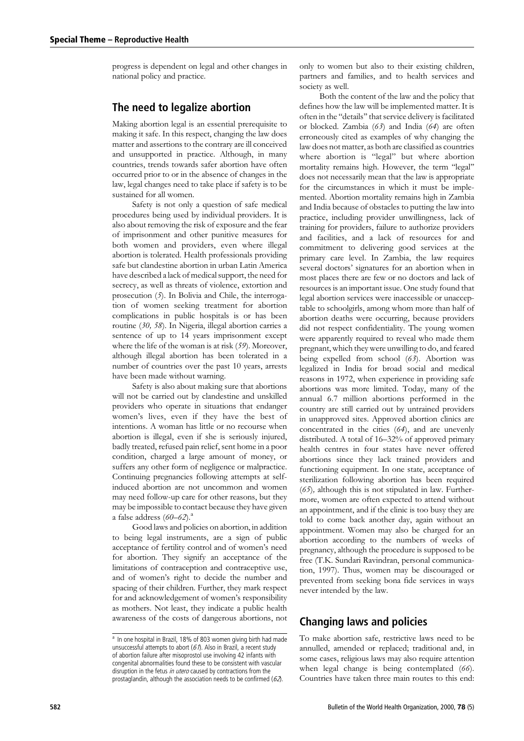progress is dependent on legal and other changes in national policy and practice.

## The need to legalize abortion

Making abortion legal is an essential prerequisite to making it safe. In this respect, changing the law does matter and assertions to the contrary are ill conceived and unsupported in practice. Although, in many countries, trends towards safer abortion have often occurred prior to or in the absence of changes in the law, legal changes need to take place if safety is to be sustained for all women.

Safety is not only a question of safe medical procedures being used by individual providers. It is also about removing the risk of exposure and the fear of imprisonment and other punitive measures for both women and providers, even where illegal abortion is tolerated. Health professionals providing safe but clandestine abortion in urban Latin America have described a lack of medical support, the need for secrecy, as well as threats of violence, extortion and prosecution  $(5)$ . In Bolivia and Chile, the interrogation of women seeking treatment for abortion complications in public hospitals is or has been routine (30, 58). In Nigeria, illegal abortion carries a sentence of up to 14 years imprisonment except where the life of the woman is at risk  $(59)$ . Moreover, although illegal abortion has been tolerated in a number of countries over the past 10 years, arrests have been made without warning.

Safety is also about making sure that abortions will not be carried out by clandestine and unskilled providers who operate in situations that endanger women's lives, even if they have the best of intentions. A woman has little or no recourse when abortion is illegal, even if she is seriously injured, badly treated, refused pain relief, sent home in a poor condition, charged a large amount of money, or suffers any other form of negligence or malpractice. Continuing pregnancies following attempts at selfinduced abortion are not uncommon and women may need follow-up care for other reasons, but they may be impossible to contact because they have given a false address  $(60-62)$ .

Good laws and policies on abortion, in addition to being legal instruments, are a sign of public acceptance of fertility control and of women's need for abortion. They signify an acceptance of the limitations of contraception and contraceptive use, and of women's right to decide the number and spacing of their children. Further, they mark respect for and acknowledgement of women's responsibility as mothers. Not least, they indicate a public health awareness of the costs of dangerous abortions, not

only to women but also to their existing children, partners and families, and to health services and society as well.

Both the content of the law and the policy that defines how the law will be implemented matter. It is often in the "details" that service delivery is facilitated or blocked. Zambia (63) and India (64) are often erroneously cited as examples of why changing the law does not matter, as both are classified as countries where abortion is "legal" but where abortion mortality remains high. However, the term "legal" does not necessarily mean that the law is appropriate for the circumstances in which it must be implemented. Abortion mortality remains high in Zambia and India because of obstacles to putting the law into practice, including provider unwillingness, lack of training for providers, failure to authorize providers and facilities, and a lack of resources for and commitment to delivering good services at the primary care level. In Zambia, the law requires several doctors' signatures for an abortion when in most places there are few or no doctors and lack of resources is an important issue. One study found that legal abortion services were inaccessible or unacceptable to schoolgirls, among whom more than half of abortion deaths were occurring, because providers did not respect confidentiality. The young women were apparently required to reveal who made them pregnant, which they were unwilling to do, and feared being expelled from school (63). Abortion was legalized in India for broad social and medical reasons in 1972, when experience in providing safe abortions was more limited. Today, many of the annual 6.7 million abortions performed in the country are still carried out by untrained providers in unapproved sites. Approved abortion clinics are concentrated in the cities (64), and are unevenly distributed. A total of 16–32% of approved primary health centres in four states have never offered abortions since they lack trained providers and functioning equipment. In one state, acceptance of sterilization following abortion has been required  $(65)$ , although this is not stipulated in law. Furthermore, women are often expected to attend without an appointment, and if the clinic is too busy they are told to come back another day, again without an appointment. Women may also be charged for an abortion according to the numbers of weeks of pregnancy, although the procedure is supposed to be free (T.K. Sundari Ravindran, personal communication, 1997). Thus, women may be discouraged or prevented from seeking bona fide services in ways never intended by the law.

# **Changing laws and policies**

To make abortion safe, restrictive laws need to be annulled, amended or replaced; traditional and, in some cases, religious laws may also require attention when legal change is being contemplated (66). Countries have taken three main routes to this end:

<sup>&</sup>lt;sup>a</sup> In one hospital in Brazil, 18% of 803 women giving birth had made unsuccessful attempts to abort  $(67)$ . Also in Brazil, a recent study of abortion failure after misoprostol use involving 42 infants with congenital abnormalities found these to be consistent with vascular disruption in the fetus in utero caused by contractions from the prostaglandin, although the association needs to be confirmed  $(62)$ .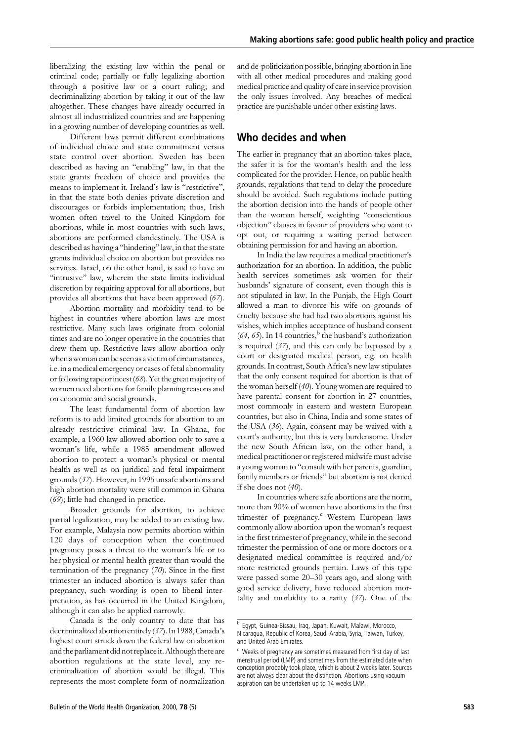liberalizing the existing law within the penal or criminal code; partially or fully legalizing abortion through a positive law or a court ruling; and decriminalizing abortion by taking it out of the law altogether. These changes have already occurred in almost all industrialized countries and are happening in a growing number of developing countries as well.

Different laws permit different combinations of individual choice and state commitment versus state control over abortion. Sweden has been described as having an "enabling" law, in that the state grants freedom of choice and provides the means to implement it. Ireland's law is "restrictive", in that the state both denies private discretion and discourages or forbids implementation; thus, Irish women often travel to the United Kingdom for abortions, while in most countries with such laws, abortions are performed clandestinely. The USA is described as having a "hindering" law, in that the state grants individual choice on abortion but provides no services. Israel, on the other hand, is said to have an "intrusive" law, wherein the state limits individual discretion by requiring approval for all abortions, but provides all abortions that have been approved  $(67)$ .

Abortion mortality and morbidity tend to be highest in countries where abortion laws are most restrictive. Many such laws originate from colonial times and are no longer operative in the countries that drew them up. Restrictive laws allow abortion only when a woman can be seen as a victim of circumstances. i.e. in a medical emergency or cases of fetal abnormality or following rape or incest (68). Yet the great majority of women need abortions for family planning reasons and on economic and social grounds.

The least fundamental form of abortion law reform is to add limited grounds for abortion to an already restrictive criminal law. In Ghana, for example, a 1960 law allowed abortion only to save a woman's life, while a 1985 amendment allowed abortion to protect a woman's physical or mental health as well as on juridical and fetal impairment grounds (37). However, in 1995 unsafe abortions and high abortion mortality were still common in Ghana  $(69)$ ; little had changed in practice.

Broader grounds for abortion, to achieve partial legalization, may be added to an existing law. For example, Malaysia now permits abortion within 120 days of conception when the continued pregnancy poses a threat to the woman's life or to her physical or mental health greater than would the termination of the pregnancy  $(70)$ . Since in the first trimester an induced abortion is always safer than pregnancy, such wording is open to liberal interpretation, as has occurred in the United Kingdom, although it can also be applied narrowly.

Canada is the only country to date that has decriminalized abortion entirely (37). In 1988, Canada's highest court struck down the federal law on abortion and the parliament did not replace it. Although there are abortion regulations at the state level, any recriminalization of abortion would be illegal. This represents the most complete form of normalization and de-politicization possible, bringing abortion in line with all other medical procedures and making good medical practice and quality of care in service provision the only issues involved. Any breaches of medical practice are punishable under other existing laws.

### Who decides and when

The earlier in pregnancy that an abortion takes place, the safer it is for the woman's health and the less complicated for the provider. Hence, on public health grounds, regulations that tend to delay the procedure should be avoided. Such regulations include putting the abortion decision into the hands of people other than the woman herself, weighting "conscientious objection" clauses in favour of providers who want to opt out, or requiring a waiting period between obtaining permission for and having an abortion.

In India the law requires a medical practitioner's authorization for an abortion. In addition, the public health services sometimes ask women for their husbands' signature of consent, even though this is not stipulated in law. In the Punjab, the High Court allowed a man to divorce his wife on grounds of cruelty because she had had two abortions against his wishes, which implies acceptance of husband consent  $(64, 65)$ . In 14 countries, <sup>b</sup> the husband's authorization is required  $(37)$ , and this can only be bypassed by a court or designated medical person, e.g. on health grounds. In contrast, South Africa's new law stipulates that the only consent required for abortion is that of the woman herself (40). Young women are required to have parental consent for abortion in 27 countries, most commonly in eastern and western European countries, but also in China, India and some states of the USA (36). Again, consent may be waived with a court's authority, but this is very burdensome. Under the new South African law, on the other hand, a medical practitioner or registered midwife must advise a young woman to "consult with her parents, guardian, family members or friends" but abortion is not denied if she does not  $(40)$ .

In countries where safe abortions are the norm. more than 90% of women have abortions in the first trimester of pregnancy.<sup>c</sup> Western European laws commonly allow abortion upon the woman's request in the first trimester of pregnancy, while in the second trimester the permission of one or more doctors or a designated medical committee is required and/or more restricted grounds pertain. Laws of this type were passed some 20-30 years ago, and along with good service delivery, have reduced abortion mortality and morbidity to a rarity  $(37)$ . One of the

<sup>&</sup>lt;sup>b</sup> Egypt, Guinea-Bissau, Iraq, Japan, Kuwait, Malawi, Morocco, Nicaragua, Republic of Korea, Saudi Arabia, Syria, Taiwan, Turkey, and United Arab Emirates.

c Weeks of pregnancy are sometimes measured from first day of last menstrual period (LMP) and sometimes from the estimated date when conception probably took place, which is about 2 weeks later. Sources are not always clear about the distinction. Abortions using vacuum aspiration can be undertaken up to 14 weeks LMP.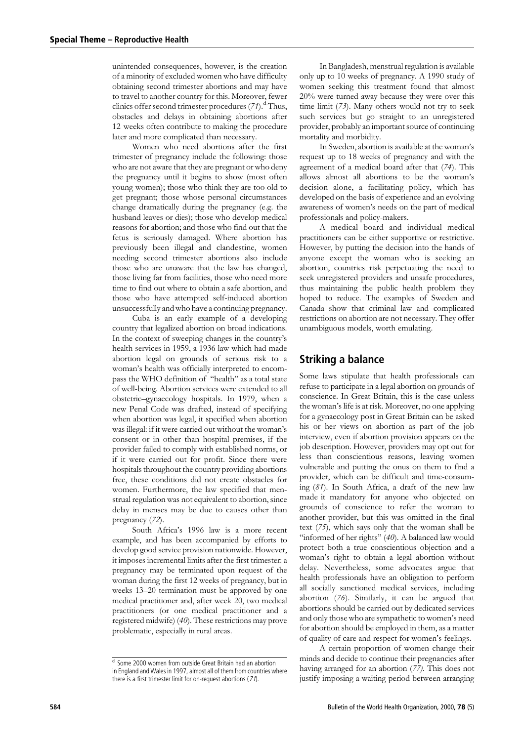unintended consequences, however, is the creation of a minority of excluded women who have difficulty obtaining second trimester abortions and may have to travel to another country for this. Moreover, fewer clinics offer second trimester procedures  $(71)$ .<sup>d</sup> Thus, obstacles and delays in obtaining abortions after 12 weeks often contribute to making the procedure later and more complicated than necessary.

Women who need abortions after the first trimester of pregnancy include the following: those who are not aware that they are pregnant or who deny the pregnancy until it begins to show (most often young women); those who think they are too old to get pregnant; those whose personal circumstances change dramatically during the pregnancy (e.g. the husband leaves or dies); those who develop medical reasons for abortion; and those who find out that the fetus is seriously damaged. Where abortion has previously been illegal and clandestine, women needing second trimester abortions also include those who are unaware that the law has changed, those living far from facilities, those who need more time to find out where to obtain a safe abortion, and those who have attempted self-induced abortion unsuccessfully and who have a continuing pregnancy.

Cuba is an early example of a developing country that legalized abortion on broad indications. In the context of sweeping changes in the country's health services in 1959, a 1936 law which had made abortion legal on grounds of serious risk to a woman's health was officially interpreted to encompass the WHO definition of "health" as a total state of well-being. Abortion services were extended to all obstetric-gynaecology hospitals. In 1979, when a new Penal Code was drafted, instead of specifying when abortion was legal, it specified when abortion was illegal: if it were carried out without the woman's consent or in other than hospital premises, if the provider failed to comply with established norms, or if it were carried out for profit. Since there were hospitals throughout the country providing abortions free, these conditions did not create obstacles for women. Furthermore, the law specified that menstrual regulation was not equivalent to abortion, since delay in menses may be due to causes other than pregnancy  $(72)$ .

South Africa's 1996 law is a more recent example, and has been accompanied by efforts to develop good service provision nationwide. However, it imposes incremental limits after the first trimester: a pregnancy may be terminated upon request of the woman during the first 12 weeks of pregnancy, but in weeks 13-20 termination must be approved by one medical practitioner and, after week 20, two medical practitioners (or one medical practitioner and a registered midwife) (40). These restrictions may prove problematic, especially in rural areas.

In Bangladesh, menstrual regulation is available only up to 10 weeks of pregnancy. A 1990 study of women seeking this treatment found that almost  $20\%$  were turned away because they were over this time limit  $(73)$ . Many others would not try to seek such services but go straight to an unregistered provider, probably an important source of continuing mortality and morbidity.

In Sweden, abortion is available at the woman's request up to 18 weeks of pregnancy and with the agreement of a medical board after that (74). This allows almost all abortions to be the woman's decision alone, a facilitating policy, which has developed on the basis of experience and an evolving awareness of women's needs on the part of medical professionals and policy-makers.

A medical board and individual medical practitioners can be either supportive or restrictive. However, by putting the decision into the hands of anyone except the woman who is seeking an abortion, countries risk perpetuating the need to seek unregistered providers and unsafe procedures, thus maintaining the public health problem they hoped to reduce. The examples of Sweden and Canada show that criminal law and complicated restrictions on abortion are not necessary. They offer unambiguous models, worth emulating.

#### **Striking a balance**

Some laws stipulate that health professionals can refuse to participate in a legal abortion on grounds of conscience. In Great Britain, this is the case unless the woman's life is at risk. Moreover, no one applying for a gynaecology post in Great Britain can be asked his or her views on abortion as part of the job interview, even if abortion provision appears on the job description. However, providers may opt out for less than conscientious reasons, leaving women vulnerable and putting the onus on them to find a provider, which can be difficult and time-consuming (81). In South Africa, a draft of the new law made it mandatory for anyone who objected on grounds of conscience to refer the woman to another provider, but this was omitted in the final text  $(75)$ , which says only that the woman shall be "informed of her rights" (40). A balanced law would protect both a true conscientious objection and a woman's right to obtain a legal abortion without delay. Nevertheless, some advocates argue that health professionals have an obligation to perform all socially sanctioned medical services, including abortion  $(76)$ . Similarly, it can be argued that abortions should be carried out by dedicated services and only those who are sympathetic to women's need for abortion should be employed in them, as a matter of quality of care and respect for women's feelings.

A certain proportion of women change their minds and decide to continue their pregnancies after having arranged for an abortion (77). This does not justify imposing a waiting period between arranging

 $\frac{d}{d}$  Some 2000 women from outside Great Britain had an abortion in England and Wales in 1997, almost all of them from countries where there is a first trimester limit for on-request abortions  $(71)$ .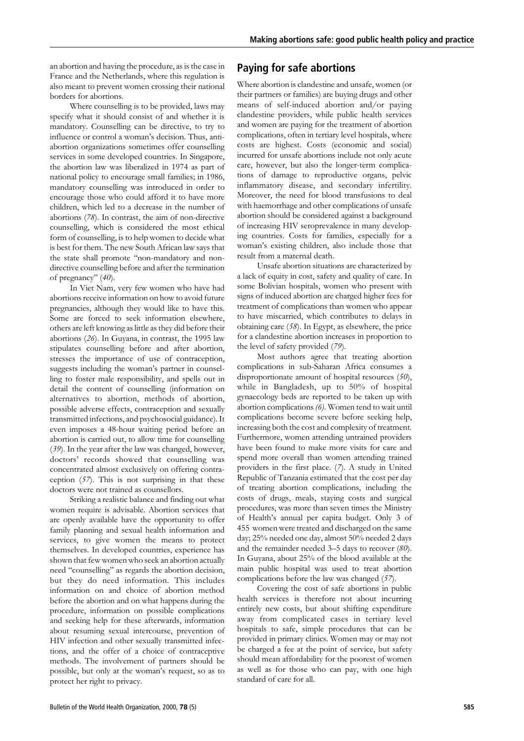an abortion and having the procedure, as is the case in France and the Netherlands, where this regulation is also meant to prevent women crossing their national borders for abortions.

Where counselling is to be provided, laws may specify what it should consist of and whether it is mandatory. Counselling can be directive, to try to influence or control a woman's decision. Thus, antiabortion organizations sometimes offer counselling services in some developed countries. In Singapore, the abortion law was liberalized in 1974 as part of national policy to encourage small families; in 1986, mandatory counselling was introduced in order to encourage those who could afford it to have more children, which led to a decrease in the number of abortions (78). In contrast, the aim of non-directive counselling, which is considered the most ethical form of counselling, is to help women to decide what is best for them. The new South African law says that the state shall promote "non-mandatory and nondirective counselling before and after the termination of pregnancy"  $(40)$ .

In Viet Nam, very few women who have had abortions receive information on how to avoid future pregnancies, although they would like to have this. Some are forced to seek information elsewhere, others are left knowing as little as they did before their abortions (26). In Guyana, in contrast, the 1995 law stipulates counselling before and after abortion, stresses the importance of use of contraception, suggests including the woman's partner in counselling to foster male responsibility, and spells out in detail the content of counselling (information on alternatives to abortion, methods of abortion, possible adverse effects, contraception and sexually transmitted infections, and psychosocial guidance). It even imposes a 48-hour waiting period before an abortion is carried out, to allow time for counselling (39). In the year after the law was changed, however, doctors' records showed that counselling was concentrated almost exclusively on offering contraception  $(57)$ . This is not surprising in that these doctors were not trained as counsellors.

Striking a realistic balance and finding out what women require is advisable. Abortion services that are openly available have the opportunity to offer family planning and sexual health information and services, to give women the means to protect themselves. In developed countries, experience has shown that few women who seek an abortion actually need "counselling" as regards the abortion decision, but they do need information. This includes information on and choice of abortion method before the abortion and on what happens during the procedure, information on possible complications and seeking help for these afterwards, information about resuming sexual intercourse, prevention of HIV infection and other sexually transmitted infections, and the offer of a choice of contraceptive methods. The involvement of partners should be possible, but only at the woman's request, so as to protect her right to privacy.

## **Paying for safe abortions**

Where abortion is clandestine and unsafe, women (or their partners or families) are buying drugs and other means of self-induced abortion and/or paying clandestine providers, while public health services and women are paying for the treatment of abortion complications, often in tertiary level hospitals, where costs are highest. Costs (economic and social) incurred for unsafe abortions include not only acute care, however, but also the longer-term complications of damage to reproductive organs, pelvic inflammatory disease, and secondary infertility. Moreover, the need for blood transfusions to deal with haemorrhage and other complications of unsafe abortion should be considered against a background of increasing HIV seroprevalence in many developing countries. Costs for families, especially for a woman's existing children, also include those that result from a maternal death.

Unsafe abortion situations are characterized by a lack of equity in cost, safety and quality of care. In some Bolivian hospitals, women who present with signs of induced abortion are charged higher fees for treatment of complications than women who appear to have miscarried, which contributes to delays in obtaining care  $(58)$ . In Egypt, as elsewhere, the price for a clandestine abortion increases in proportion to the level of safety provided (79).

Most authors agree that treating abortion complications in sub-Saharan Africa consumes a disproportionate amount of hospital resources  $(50)$ , while in Bangladesh, up to 50% of hospital gynaecology beds are reported to be taken up with abortion complications (6). Women tend to wait until complications become severe before seeking help, increasing both the cost and complexity of treatment. Furthermore, women attending untrained providers have been found to make more visits for care and spend more overall than women attending trained providers in the first place. (7). A study in United Republic of Tanzania estimated that the cost per day of treating abortion complications, including the costs of drugs, meals, staying costs and surgical procedures, was more than seven times the Ministry of Health's annual per capita budget. Only 3 of 455 women were treated and discharged on the same day; 25% needed one day, almost 50% needed 2 days and the remainder needed 3–5 days to recover (80). In Guyana, about 25% of the blood available at the main public hospital was used to treat abortion complications before the law was changed (57).

Covering the cost of safe abortions in public health services is therefore not about incurring entirely new costs, but about shifting expenditure away from complicated cases in tertiary level hospitals to safe, simple procedures that can be provided in primary clinics. Women may or may not be charged a fee at the point of service, but safety should mean affordability for the poorest of women as well as for those who can pay, with one high standard of care for all.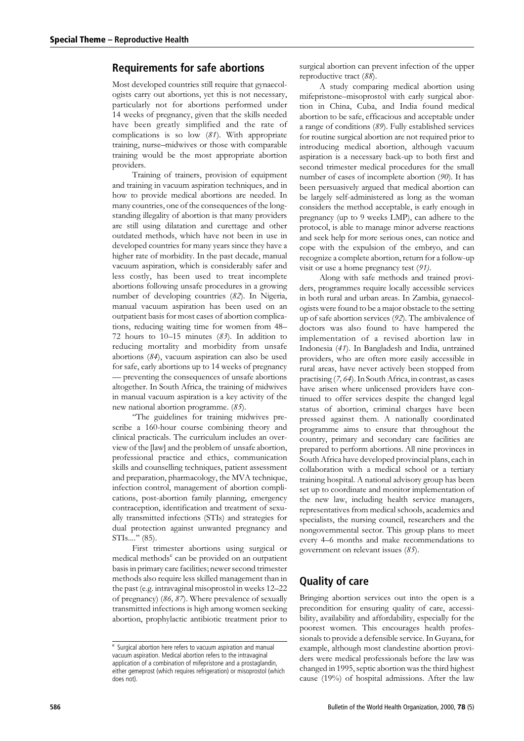### **Requirements for safe abortions**

Most developed countries still require that gynaecologists carry out abortions, yet this is not necessary, particularly not for abortions performed under 14 weeks of pregnancy, given that the skills needed have been greatly simplified and the rate of complications is so low  $(81)$ . With appropriate training, nurse-midwives or those with comparable training would be the most appropriate abortion providers.

Training of trainers, provision of equipment and training in vacuum aspiration techniques, and in how to provide medical abortions are needed. In many countries, one of the consequences of the longstanding illegality of abortion is that many providers are still using dilatation and curettage and other outdated methods, which have not been in use in developed countries for many years since they have a higher rate of morbidity. In the past decade, manual vacuum aspiration, which is considerably safer and less costly, has been used to treat incomplete abortions following unsafe procedures in a growing number of developing countries (82). In Nigeria, manual vacuum aspiration has been used on an outpatient basis for most cases of abortion complications, reducing waiting time for women from 48-72 hours to 10-15 minutes  $(83)$ . In addition to reducing mortality and morbidity from unsafe abortions  $(84)$ , vacuum aspiration can also be used for safe, early abortions up to 14 weeks of pregnancy - preventing the consequences of unsafe abortions altogether. In South Africa, the training of midwives in manual vacuum aspiration is a key activity of the new national abortion programme. (85).

"The guidelines for training midwives prescribe a 160-hour course combining theory and clinical practicals. The curriculum includes an overview of the [law] and the problem of unsafe abortion, professional practice and ethics, communication skills and counselling techniques, patient assessment and preparation, pharmacology, the MVA technique, infection control, management of abortion complications, post-abortion family planning, emergency contraception, identification and treatment of sexually transmitted infections (STIs) and strategies for dual protection against unwanted pregnancy and  $STIs...." (85).$ 

First trimester abortions using surgical or medical methods<sup>e</sup> can be provided on an outpatient basis in primary care facilities; newer second trimester methods also require less skilled management than in the past (e.g. intravaginal misoprostol in weeks 12-22 of pregnancy) (86, 87). Where prevalence of sexually transmitted infections is high among women seeking abortion, prophylactic antibiotic treatment prior to

surgical abortion can prevent infection of the upper reproductive tract (88).

A study comparing medical abortion using mifepristone-misoprostol with early surgical abortion in China, Cuba, and India found medical abortion to be safe, efficacious and acceptable under a range of conditions (89). Fully established services for routine surgical abortion are not required prior to introducing medical abortion, although vacuum aspiration is a necessary back-up to both first and second trimester medical procedures for the small number of cases of incomplete abortion (90). It has been persuasively argued that medical abortion can be largely self-administered as long as the woman considers the method acceptable, is early enough in pregnancy (up to 9 weeks LMP), can adhere to the protocol, is able to manage minor adverse reactions and seek help for more serious ones, can notice and cope with the expulsion of the embryo, and can recognize a complete abortion, return for a follow-up visit or use a home pregnancy test  $(91)$ .

Along with safe methods and trained providers, programmes require locally accessible services in both rural and urban areas. In Zambia, gynaecologists were found to be a major obstacle to the setting up of safe abortion services  $(92)$ . The ambivalence of doctors was also found to have hampered the implementation of a revised abortion law in Indonesia (41). In Bangladesh and India, untrained providers, who are often more easily accessible in rural areas, have never actively been stopped from practising (7, 64). In South Africa, in contrast, as cases have arisen where unlicensed providers have continued to offer services despite the changed legal status of abortion, criminal charges have been pressed against them. A nationally coordinated programme aims to ensure that throughout the country, primary and secondary care facilities are prepared to perform abortions. All nine provinces in South Africa have developed provincial plans, each in collaboration with a medical school or a tertiary training hospital. A national advisory group has been set up to coordinate and monitor implementation of the new law, including health service managers, representatives from medical schools, academics and specialists, the nursing council, researchers and the nongovernmental sector. This group plans to meet every 4–6 months and make recommendations to government on relevant issues  $(85)$ .

# **Quality of care**

Bringing abortion services out into the open is a precondition for ensuring quality of care, accessibility, availability and affordability, especially for the poorest women. This encourages health professionals to provide a defensible service. In Guyana, for example, although most clandestine abortion providers were medical professionals before the law was changed in 1995, septic abortion was the third highest cause (19%) of hospital admissions. After the law

<sup>&</sup>lt;sup>e</sup> Surgical abortion here refers to vacuum aspiration and manual vacuum aspiration. Medical abortion refers to the intravaginal application of a combination of mifepristone and a prostaglandin, either gemeprost (which requires refrigeration) or misoprostol (which does not).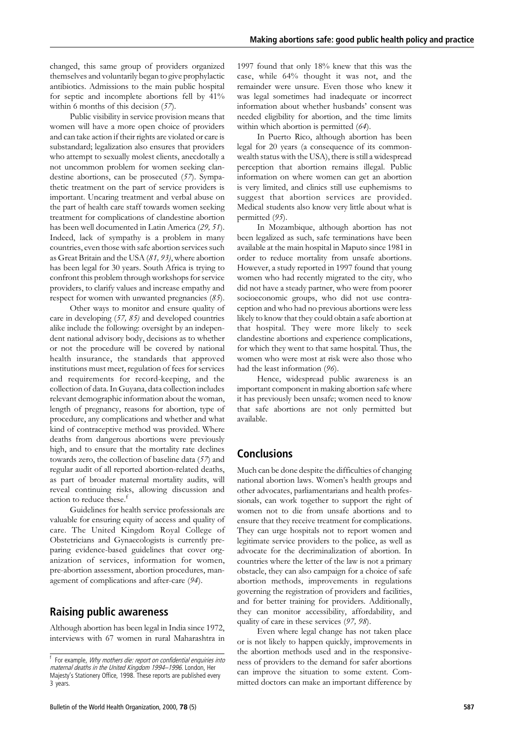changed, this same group of providers organized themselves and voluntarily began to give prophylactic antibiotics. Admissions to the main public hospital for septic and incomplete abortions fell by 41% within 6 months of this decision  $(57)$ .

Public visibility in service provision means that women will have a more open choice of providers and can take action if their rights are violated or care is substandard; legalization also ensures that providers who attempt to sexually molest clients, anecdotally a not uncommon problem for women seeking clandestine abortions, can be prosecuted (57). Sympathetic treatment on the part of service providers is important. Uncaring treatment and verbal abuse on the part of health care staff towards women seeking treatment for complications of clandestine abortion has been well documented in Latin America (29, 51). Indeed, lack of sympathy is a problem in many countries, even those with safe abortion services such as Great Britain and the USA (81, 93), where abortion has been legal for 30 years. South Africa is trying to confront this problem through workshops for service providers, to clarify values and increase empathy and respect for women with unwanted pregnancies  $(85)$ .

Other ways to monitor and ensure quality of care in developing  $(57, 85)$  and developed countries alike include the following: oversight by an independent national advisory body, decisions as to whether or not the procedure will be covered by national health insurance, the standards that approved institutions must meet, regulation of fees for services and requirements for record-keeping, and the collection of data. In Guyana, data collection includes relevant demographic information about the woman, length of pregnancy, reasons for abortion, type of procedure, any complications and whether and what kind of contraceptive method was provided. Where deaths from dangerous abortions were previously high, and to ensure that the mortality rate declines towards zero, the collection of baseline data (57) and regular audit of all reported abortion-related deaths, as part of broader maternal mortality audits, will reveal continuing risks, allowing discussion and action to reduce these.<sup>1</sup>

Guidelines for health service professionals are valuable for ensuring equity of access and quality of care. The United Kingdom Royal College of Obstetricians and Gynaecologists is currently preparing evidence-based guidelines that cover organization of services, information for women, pre-abortion assessment, abortion procedures, management of complications and after-care (94).

#### **Raising public awareness**

Although abortion has been legal in India since 1972, interviews with 67 women in rural Maharashtra in 1997 found that only 18% knew that this was the case, while 64% thought it was not, and the remainder were unsure. Even those who knew it was legal sometimes had inadequate or incorrect information about whether husbands' consent was needed eligibility for abortion, and the time limits within which abortion is permitted (64).

In Puerto Rico, although abortion has been legal for 20 years (a consequence of its commonwealth status with the USA), there is still a widespread perception that abortion remains illegal. Public information on where women can get an abortion is very limited, and clinics still use euphemisms to suggest that abortion services are provided. Medical students also know very little about what is permitted (95).

In Mozambique, although abortion has not been legalized as such, safe terminations have been available at the main hospital in Maputo since 1981 in order to reduce mortality from unsafe abortions. However, a study reported in 1997 found that young women who had recently migrated to the city, who did not have a steady partner, who were from poorer socioeconomic groups, who did not use contraception and who had no previous abortions were less likely to know that they could obtain a safe abortion at that hospital. They were more likely to seek clandestine abortions and experience complications, for which they went to that same hospital. Thus, the women who were most at risk were also those who had the least information (96).

Hence, widespread public awareness is an important component in making abortion safe where it has previously been unsafe; women need to know that safe abortions are not only permitted but available.

## **Conclusions**

Much can be done despite the difficulties of changing national abortion laws. Women's health groups and other advocates, parliamentarians and health professionals, can work together to support the right of women not to die from unsafe abortions and to ensure that they receive treatment for complications. They can urge hospitals not to report women and legitimate service providers to the police, as well as advocate for the decriminalization of abortion. In countries where the letter of the law is not a primary obstacle, they can also campaign for a choice of safe abortion methods, improvements in regulations governing the registration of providers and facilities, and for better training for providers. Additionally, they can monitor accessibility, affordability, and quality of care in these services (97, 98).

Even where legal change has not taken place or is not likely to happen quickly, improvements in the abortion methods used and in the responsiveness of providers to the demand for safer abortions can improve the situation to some extent. Committed doctors can make an important difference by

<sup>&</sup>lt;sup>f</sup> For example, Why mothers die: report on confidential enquiries into maternal deaths in the United Kingdom 1994-1996. London, Her Majesty's Stationery Office, 1998. These reports are published every 3 vears.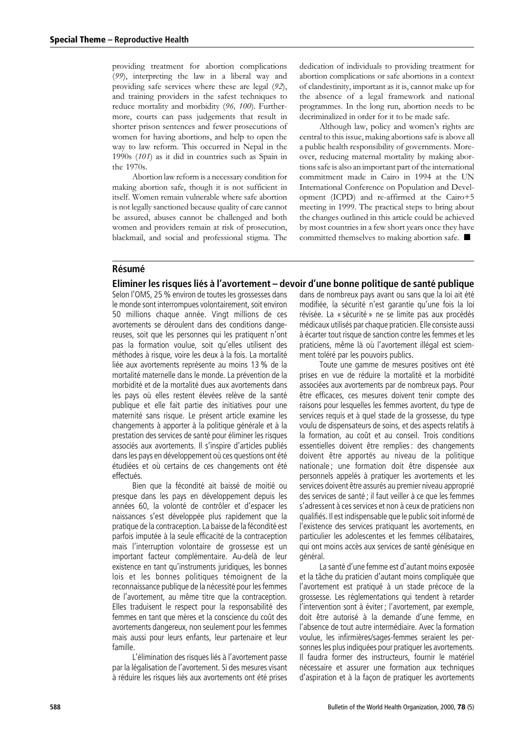providing treatment for abortion complications (99), interpreting the law in a liberal way and providing safe services where these are legal (92), and training providers in the safest techniques to reduce mortality and morbidity (96, 100). Furthermore, courts can pass judgements that result in shorter prison sentences and fewer prosecutions of women for having abortions, and help to open the way to law reform. This occurred in Nepal in the 1990s (101) as it did in countries such as Spain in the 1970s.

Abortion law reform is a necessary condition for making abortion safe, though it is not sufficient in itself. Women remain vulnerable where safe abortion is not legally sanctioned because quality of care cannot be assured, abuses cannot be challenged and both women and providers remain at risk of prosecution, blackmail, and social and professional stigma. The

dedication of individuals to providing treatment for abortion complications or safe abortions in a context of clandestinity, important as it is, cannot make up for the absence of a legal framework and national programmes. In the long run, abortion needs to be decriminalized in order for it to be made safe.

Although law, policy and women's rights are central to this issue, making abortions safe is above all a public health responsibility of governments. Moreover, reducing maternal mortality by making abortions safe is also an important part of the international commitment made in Cairo in 1994 at the UN International Conference on Population and Development (ICPD) and re-affirmed at the Cairo+5 meeting in 1999. The practical steps to bring about the changes outlined in this article could be achieved by most countries in a few short years once they have committed themselves to making abortion safe. ■

#### Résumé

#### Eliminer les risques liés à l'avortement – devoir d'une bonne politique de santé publique

Selon l'OMS, 25 % environ de toutes les grossesses dans le monde sont interrompues volontairement, soit environ 50 millions chaque année. Vingt millions de ces avortements se déroulent dans des conditions dangereuses, soit que les personnes qui les pratiquent n'ont pas la formation voulue, soit qu'elles utilisent des méthodes à risque, voire les deux à la fois. La mortalité liée aux avortements représente au moins 13 % de la mortalité maternelle dans le monde. La prévention de la morbidité et de la mortalité dues aux avortements dans les pays où elles restent élevées relève de la santé publique et elle fait partie des initiatives pour une maternité sans risque. Le présent article examine les changements à apporter à la politique générale et à la prestation des services de santé pour éliminer les risques associés aux avortements. Il s'inspire d'articles publiés dans les pays en développement où ces questions ont été étudiées et où certains de ces changements ont été effectués.

Bien que la fécondité ait baissé de moitié ou presque dans les pays en développement depuis les années 60, la volonté de contrôler et d'espacer les naissances s'est développée plus rapidement que la pratique de la contraception. La baisse de la fécondité est parfois imputée à la seule efficacité de la contraception mais l'interruption volontaire de grossesse est un important facteur complémentaire. Au-delà de leur existence en tant qu'instruments juridiques, les bonnes lois et les bonnes politiques témoignent de la reconnaissance publique de la nécessité pour les femmes de l'avortement, au même titre que la contraception. Elles traduisent le respect pour la responsabilité des femmes en tant que mères et la conscience du coût des avortements dangereux, non seulement pour les femmes mais aussi pour leurs enfants, leur partenaire et leur famille.

L'élimination des risques liés à l'avortement passe par la légalisation de l'avortement. Si des mesures visant à réduire les risques liés aux avortements ont été prises

dans de nombreux pays avant ou sans que la loi ait été modifiée, la sécurité n'est garantie gu'une fois la loi révisée. La « sécurité » ne se limite pas aux procédés médicaux utilisés par chaque praticien. Elle consiste aussi à écarter tout risque de sanction contre les femmes et les praticiens, même là où l'avortement illégal est sciemment toléré par les pouvoirs publics.

Toute une gamme de mesures positives ont été prises en vue de réduire la mortalité et la morbidité associées aux avortements par de nombreux pays. Pour être efficaces, ces mesures doivent tenir compte des raisons pour lesquelles les femmes avortent, du type de services requis et à quel stade de la grossesse, du type voulu de dispensateurs de soins, et des aspects relatifs à la formation, au coût et au conseil. Trois conditions essentielles doivent être remplies : des changements doivent être apportés au niveau de la politique nationale; une formation doit être dispensée aux personnels appelés à pratiquer les avortements et les services doivent être assurés au premier niveau approprié des services de santé ; il faut veiller à ce que les femmes s'adressent à ces services et non à ceux de praticiens non qualifiés. Il est indispensable que le public soit informé de l'existence des services pratiquant les avortements, en particulier les adolescentes et les femmes célibataires, qui ont moins accès aux services de santé génésique en général.

La santé d'une femme est d'autant moins exposée et la tâche du praticien d'autant moins compliquée que l'avortement est pratiqué à un stade précoce de la grossesse. Les réglementations qui tendent à retarder l'intervention sont à éviter ; l'avortement, par exemple, doit être autorisé à la demande d'une femme, en l'absence de tout autre intermédiaire. Avec la formation voulue, les infirmières/sages-femmes seraient les personnes les plus indiquées pour pratiquer les avortements. Il faudra former des instructeurs, fournir le matériel nécessaire et assurer une formation aux techniques d'aspiration et à la façon de pratiquer les avortements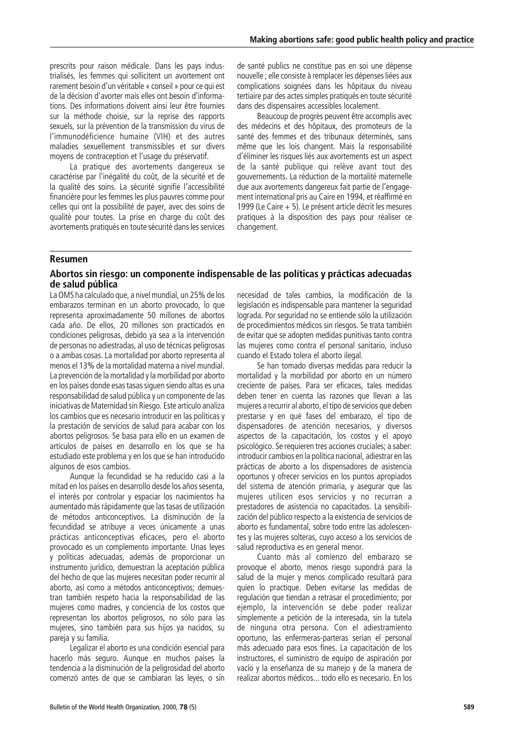prescrits pour raison médicale. Dans les pays industrialisés, les femmes qui sollicitent un avortement ont rarement besoin d'un véritable « conseil » pour ce qui est de la décision d'avorter mais elles ont besoin d'informations. Des informations doivent ainsi leur être fournies sur la méthode choisie, sur la reprise des rapports sexuels, sur la prévention de la transmission du virus de l'immunodéficience humaine (VIH) et des autres maladies sexuellement transmissibles et sur divers moyens de contraception et l'usage du préservatif.

La pratique des avortements dangereux se caractérise par l'inégalité du coût, de la sécurité et de la qualité des soins. La sécurité signifie l'accessibilité financière pour les femmes les plus pauvres comme pour celles qui ont la possibilité de payer, avec des soins de qualité pour toutes. La prise en charge du coût des avortements pratiqués en toute sécurité dans les services

de santé publics ne constitue pas en soi une dépense nouvelle ; elle consiste à remplacer les dépenses liées aux complications soignées dans les hôpitaux du niveau tertiaire par des actes simples pratiqués en toute sécurité dans des dispensaires accessibles localement.

Beaucoup de progrès peuvent être accomplis avec des médecins et des hôpitaux, des promoteurs de la santé des femmes et des tribunaux déterminés, sans même que les lois changent. Mais la responsabilité d'éliminer les risques liés aux avortements est un aspect de la santé publique qui relève avant tout des gouvernements. La réduction de la mortalité maternelle due aux avortements dangereux fait partie de l'engagement international pris au Caire en 1994, et réaffirmé en 1999 (Le Caire + 5). Le présent article décrit les mesures pratiques à la disposition des pays pour réaliser ce changement.

#### **Resumen**

#### Abortos sin riesgo: un componente indispensable de las políticas y prácticas adecuadas de salud pública

La OMS ha calculado que, a nivel mundial, un 25% de los embarazos terminan en un aborto provocado, lo que representa aproximadamente 50 millones de abortos cada año. De ellos. 20 millones son practicados en condiciones peligrosas, debido ya sea a la intervención de personas no adiestradas, al uso de técnicas peligrosas o a ambas cosas. La mortalidad por aborto representa al menos el 13% de la mortalidad materna a nivel mundial. La prevención de la mortalidad y la morbilidad por aborto en los países donde esas tasas siguen siendo altas es una responsabilidad de salud pública y un componente de las iniciativas de Maternidad sin Riesgo. Este artículo analiza los cambios que es necesario introducir en las políticas y la prestación de servicios de salud para acabar con los abortos peligrosos. Se basa para ello en un examen de artículos de países en desarrollo en los que se ha estudiado este problema y en los que se han introducido algunos de esos cambios.

Aunque la fecundidad se ha reducido casi a la mitad en los países en desarrollo desde los años sesenta, el interés por controlar y espaciar los nacimientos ha aumentado más rápidamente que las tasas de utilización de métodos anticonceptivos. La disminución de la fecundidad se atribuye a veces únicamente a unas prácticas anticonceptivas eficaces, pero el aborto provocado es un complemento importante. Unas leyes y políticas adecuadas, además de proporcionar un instrumento jurídico, demuestran la aceptación pública del hecho de que las mujeres necesitan poder recurrir al aborto, así como a métodos anticonceptivos; demuestran también respeto hacia la responsabilidad de las mujeres como madres, y conciencia de los costos que representan los abortos peligrosos, no sólo para las mujeres, sino también para sus hijos ya nacidos, su pareja y su familia.

Legalizar el aborto es una condición esencial para hacerlo más seguro. Aunque en muchos países la tendencia a la disminución de la peligrosidad del aborto comenzó antes de que se cambiaran las leyes, o sin necesidad de tales cambios, la modificación de la legislación es indispensable para mantener la seguridad lograda. Por seguridad no se entiende sólo la utilización de procedimientos médicos sin riesgos. Se trata también de evitar que se adopten medidas punitivas tanto contra las mujeres como contra el personal sanitario, incluso cuando el Estado tolera el aborto ilegal.

Se han tomado diversas medidas para reducir la mortalidad y la morbilidad por aborto en un número creciente de países. Para ser eficaces, tales medidas deben tener en cuenta las razones que llevan a las mujeres a recurrir al aborto, el tipo de servicios que deben prestarse y en qué fases del embarazo, el tipo de dispensadores de atención necesarios, y diversos aspectos de la capacitación, los costos y el apoyo psicológico. Se requieren tres acciones cruciales; a saber: introducir cambios en la política nacional, adiestrar en las prácticas de aborto a los dispensadores de asistencia oportunos y ofrecer servicios en los puntos apropiados del sistema de atención primaria, y asegurar que las mujeres utilicen esos servicios y no recurran a prestadores de asistencia no capacitados. La sensibilización del público respecto a la existencia de servicios de aborto es fundamental, sobre todo entre las adolescentes y las mujeres solteras, cuyo acceso a los servicios de salud reproductiva es en general menor.

Cuanto más al comienzo del embarazo se provogue el aborto, menos riesgo supondrá para la salud de la mujer y menos complicado resultará para quien lo practique. Deben evitarse las medidas de regulación que tiendan a retrasar el procedimiento; por ejemplo, la intervención se debe poder realizar simplemente a petición de la interesada, sin la tutela de ninguna otra persona. Con el adiestramiento oportuno, las enfermeras-parteras serían el personal más adecuado para esos fines. La capacitación de los instructores, el suministro de equipo de aspiración por vacío y la enseñanza de su manejo y de la manera de realizar abortos médicos... todo ello es necesario. En los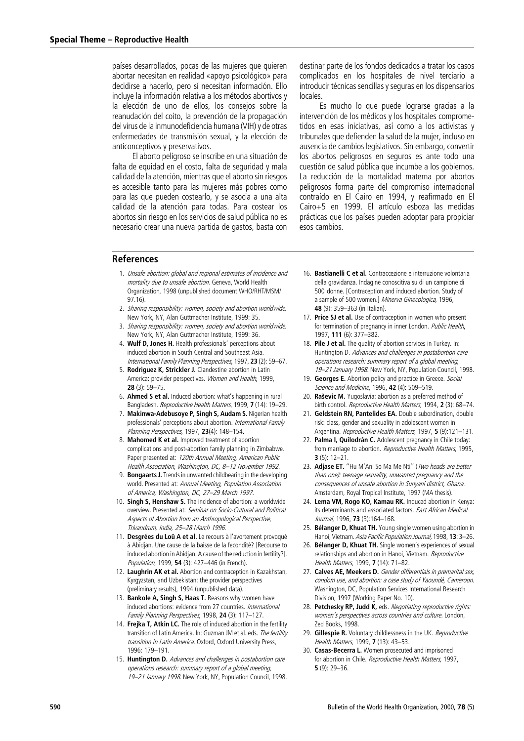países desarrollados, pocas de las mujeres que quieren abortar necesitan en realidad «apoyo psicológico» para decidirse a hacerlo, pero sí necesitan información. Ello incluye la información relativa a los métodos abortivos y la elección de uno de ellos. los consejos sobre la reanudación del coito, la prevención de la propagación del virus de la inmunodeficiencia humana (VIH) y de otras enfermedades de transmisión sexual, y la elección de anticonceptivos y preservativos.

El aborto peligroso se inscribe en una situación de falta de equidad en el costo, falta de seguridad y mala calidad de la atención, mientras que el aborto sin riesgos es accesible tanto para las mujeres más pobres como para las que pueden costearlo, y se asocia a una alta calidad de la atención para todas. Para costear los abortos sin riesgo en los servicios de salud pública no es necesario crear una nueva partida de gastos, basta con

destinar parte de los fondos dedicados a tratar los casos complicados en los hospitales de nivel terciario a introducir técnicas sencillas y seguras en los dispensarios locales

Es mucho lo que puede lograrse gracias a la intervención de los médicos y los hospitales comprometidos en esas iniciativas, así como a los activistas y tribunales que defienden la salud de la mujer, incluso en ausencia de cambios legislativos. Sin embargo, convertir los abortos peligrosos en seguros es ante todo una cuestión de salud pública que incumbe a los gobiernos. La reducción de la mortalidad materna por abortos peligrosos forma parte del compromiso internacional contraído en El Cairo en 1994, y reafirmado en El Cairo+5 en 1999. El artículo esboza las medidas prácticas que los países pueden adoptar para propiciar esos cambios.

#### **References**

- 1. Unsafe abortion: global and regional estimates of incidence and mortality due to unsafe abortion. Geneva, World Health Organization, 1998 (unpublished document WHO/RHT/MSM/  $97.16$
- 2. Sharing responsibility: women, society and abortion worldwide. New York, NY, Alan Guttmacher Institute, 1999; 35.
- 3. Sharing responsibility: women, society and abortion worldwide. New York, NY, Alan Guttmacher Institute, 1999: 36.
- 4. Wulf D. Jones H. Health professionals' perceptions about induced abortion in South Central and Southeast Asia. International Family Planning Perspectives, 1997, 23 (2): 59-67.
- 5. Rodriguez K, Strickler J. Clandestine abortion in Latin America: provider perspectives. Women and Health, 1999,  $28(3): 59 - 75$
- 6. Ahmed S et al. Induced abortion: what's happening in rural Bangladesh. Reproductive Health Matters, 1999, 7 (14): 19-29.
- 7. Makinwa-Adebusoye P, Singh S, Audam S. Nigerian health professionals' perceptions about abortion. International Family Planning Perspectives, 1997, 23(4): 148-154.
- 8. Mahomed K et al. Improved treatment of abortion complications and post-abortion family planning in Zimbabwe. Paper presented at: 120th Annual Meeting, American Public Health Association, Washington, DC, 8-12 November 1992.
- 9. Bongaarts J. Trends in unwanted childbearing in the developing world. Presented at: Annual Meeting, Population Association of America, Washington, DC, 27-29 March 1997.
- 10. Singh S, Henshaw S. The incidence of abortion: a worldwide overview. Presented at: Seminar on Socio-Cultural and Political Aspects of Abortion from an Anthropological Perspective. Trivandrum, India, 25-28 March 1996.
- 11. Desgrées du Loû A et al. Le recours à l'avortement provoqué à Abidjan. Une cause de la baisse de la fecondité? [Recourse to induced abortion in Abidjan. A cause of the reduction in fertility?]. Population, 1999, 54 (3): 427-446 (in French).
- 12. Laughrin AK et al. Abortion and contraception in Kazakhstan, Kyrgyzstan, and Uzbekistan: the provider perspectives (preliminary results), 1994 (unpublished data).
- 13. Bankole A, Singh S, Haas T. Reasons why women have induced abortions: evidence from 27 countries. International Family Planning Perspectives, 1998. 24 (3): 117-127.
- 14. Frejka T, Atkin LC. The role of induced abortion in the fertility transition of Latin America In: Guzman IM et al. eds. The fertility transition in Latin America. Oxford. Oxford University Press. 1996: 179-191.
- 15. Huntington D. Advances and challenges in postabortion care operations research: summary report of a global meeting, 19-21 January 1998. New York, NY, Population Council, 1998.
- 16. Bastianelli C et al. Contraccezione e interruzione volontaria della gravidanza. Indagine conoscitiva su di un campione di 500 donne. [Contraception and induced abortion. Study of a sample of 500 women.] Minerva Ginecologica, 1996, 48 (9): 359-363 (in Italian).
- 17. Price SJ et al. Use of contraception in women who present for termination of pregnancy in inner London. Public Health, 1997, 111 (6): 377-382.
- 18. Pile J et al. The quality of abortion services in Turkey. In: Huntington D. Advances and challenges in postabortion care operations research: summary report of a global meeting, 19-21 January 1998. New York, NY, Population Council, 1998.
- 19. Georges E. Abortion policy and practice in Greece. Social Science and Medicine, 1996, 42 (4): 509-519.
- $20<sub>1</sub>$ Raševic M. Yugoslavia: abortion as a preferred method of birth control. Reproductive Health Matters, 1994, 2(3): 68-74.
- 21. Geldstein RN, Pantelides EA. Double subordination, double risk: class, gender and sexuality in adolescent women in Argentina. Reproductive Health Matters, 1997, 5 (9):121-131.
- 22. Palma I. Ouilodrán C. Adolescent pregnancy in Chile today: from marriage to abortion. Reproductive Health Matters, 1995,  $3(5): 12-21.$
- 23. Adjase ET. "Hu M'Ani So Ma Me Nti" (Two heads are better than one): teenage sexuality, unwanted pregnancy and the consequences of unsafe abortion in Sunyani district, Ghana. Amsterdam, Royal Tropical Institute, 1997 (MA thesis).
- 24. Lema VM, Rogo KO, Kamau RK. Induced abortion in Kenya: its determinants and associated factors. East African Medical Journal, 1996. 73 (3):164-168.
- 25. Bélanger D, Khuat TH. Young single women using abortion in Hanoi, Vietnam, Asia Pacific Population Journal, 1998, 13: 3-26.
- 26. Bélanger D, Khuat TH. Single women's experiences of sexual relationships and abortion in Hanoi, Vietnam. Reproductive Health Matters, 1999, 7 (14): 71-82.
- 27. Calves AE, Meekers D. Gender differentials in premarital sex, condom use, and abortion: a case study of Yaoundé, Cameroon. Washington, DC, Population Services International Research Division, 1997 (Working Paper No. 10).
- 28. Petchesky RP, Judd K, eds. Negotiating reproductive rights: women's perspectives across countries and culture. London. Zed Books, 1998.
- 29. Gillespie R. Voluntary childlessness in the UK. Reproductive Health Matters. 1999. 7 (13): 43-53.
- 30. Casas-Becerra L. Women prosecuted and imprisoned for abortion in Chile. Reproductive Health Matters, 1997,  $5(9): 29-36.$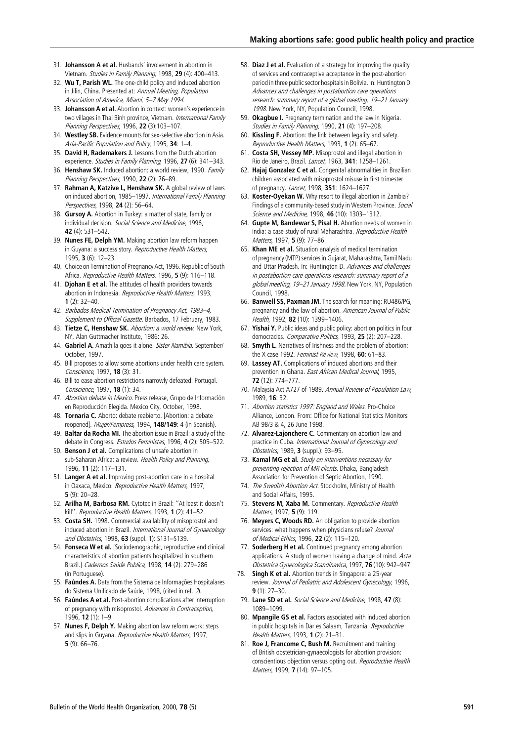- 31. Johansson A et al. Husbands' involvement in abortion in Vietnam. Studies in Family Planning, 1998, 29 (4): 400-413.
- 32. Wu T, Parish WL. The one-child policy and induced abortion in Jilin, China. Presented at: Annual Meeting, Population Association of America, Miami, 5-7 May 1994.
- 33. Johansson A et al. Abortion in context: women's experience in two villages in Thai Binh province, Vietnam. International Family Planning Perspectives, 1996, 22 (3):103-107.
- 34. Westley SB. Evidence mounts for sex-selective abortion in Asia. Asia-Pacific Population and Policy, 1995, 34: 1-4.
- 35. David H, Rademakers J. Lessons from the Dutch abortion experience. Studies in Family Planning. 1996. 27 (6): 341-343.
- 36. Henshaw SK. Induced abortion: a world review, 1990. Family Planning Perspectives, 1990, 22 (2): 76-89.
- 37. Rahman A, Katzive L, Henshaw SK. A global review of laws on induced abortion, 1985-1997. International Family Planning Perspectives, 1998, 24 (2): 56-64.
- 38. Gursoy A. Abortion in Turkey: a matter of state, family or individual decision. Social Science and Medicine, 1996, 42 (4): 531-542.
- 39. Nunes FE, Delph YM. Making abortion law reform happen in Guyana: a success story. Reproductive Health Matters,  $1995.$  **3** (6):  $12-23$ .
- 40. Choice on Termination of Pregnancy Act, 1996. Republic of South Africa. Reproductive Health Matters, 1996, 5 (9): 116-118.
- 41. Djohan E et al. The attitudes of health providers towards abortion in Indonesia. Reproductive Health Matters, 1993,  $1(2): 32-40.$
- 42. Barbados Medical Termination of Pregnancy Act, 1983-4, Supplement to Official Gazette. Barbados, 17 February, 1983.
- 43. Tietze C, Henshaw SK. Abortion: a world review. New York, NY. Alan Guttmacher Institute, 1986: 26.
- 44. Gabriel A. Amathila goes it alone. Sister Namibia. September/ October, 1997.
- 45. Bill proposes to allow some abortions under health care system. Conscience, 1997, 18 (3): 31.
- 46. Bill to ease abortion restrictions narrowly defeated: Portugal. Conscience, 1997, 18 (1): 34.
- 47. *Abortion debate in Mexico*. Press release. Grupo de Información en Reproducción Elegida. Mexico City, October, 1998.
- 48. Tornaria C. Aborto: debate reabierto. [Abortion: a debate reopened]. Mujer/Fempress, 1994, 148/149: 4 (in Spanish).
- 49. **Baltar da Rocha MI.** The abortion issue in Brazil: a study of the debate in Congress. Estudos Feministas, 1996, 4 (2): 505-522.
- 50. Benson J et al. Complications of unsafe abortion in sub-Saharan Africa: a review. Health Policy and Planning, 1996, 11 (2): 117-131.
- 51. Langer A et al. Improving post-abortion care in a hospital in Oaxaca, Mexico. Reproductive Health Matters, 1997,  $5(9): 20-28$
- 52. Arilha M, Barbosa RM. Cytotec in Brazil: "At least it doesn't kill". Reproductive Health Matters. 1993. 1 (2): 41-52.
- 53. Costa SH. 1998. Commercial availability of misoprostol and induced abortion in Brazil *International Journal of Gynaecology* and Obstetrics, 1998, 63 (suppl. 1): S131-S139.
- 54. Fonseca W et al. [Sociodemographic, reproductive and clinical characteristics of abortion patients hospitalized in southern Brazil.] Cadernos Saúde Publica, 1998, 14 (2): 279-286 (in Portuguese).
- 55. Faúndes A. Data from the Sistema de Informações Hospitalares do Sistema Unificado de Saúde, 1998, (cited in ref. 2).
- 56. Faúndes A et al. Post-abortion complications after interruption of pregnancy with misoprostol. Advances in Contraception, 1996, 12 (1): 1-9.
- 57. Nunes F, Delph Y. Making abortion law reform work: steps and slips in Guyana. Reproductive Health Matters, 1997,  $5(9): 66-76.$
- 58. Diaz J et al. Evaluation of a strategy for improving the quality of services and contraceptive acceptance in the post-abortion period in three public sector hospitals in Bolivia. In: Huntington D. Advances and challenges in postabortion care operations research: summary report of a global meeting, 19-21 January 1998. New York, NY, Population Council, 1998.
- 59. Okagbue I. Pregnancy termination and the law in Nigeria. Studies in Family Planning, 1990, 21 (4): 197-208.
- 60. Kissling F. Abortion: the link between legality and safety. Reproductive Health Matters, 1993, 1 (2): 65-67.
- 61. Costa SH, Vessey MP. Misoprostol and illegal abortion in Rio de Janeiro, Brazil, *Lancet*, 1963, 341; 1258-1261.
- 62. Hajaj Gonzalez C et al. Congenital abnormalities in Brazilian children associated with misoprostol misuse in first trimester of pregnancy. Lancet, 1998, 351: 1624-1627.
- 63. Koster-Oyekan W. Why resort to illegal abortion in Zambia? Findings of a community-based study in Western Province. Social Science and Medicine, 1998, 46 (10): 1303-1312.
- 64. Gupte M, Bandewar S, Pisal H. Abortion needs of women in India: a case study of rural Maharashtra. Reproductive Health Matters, 1997, 5 (9): 77-86.
- 65. Khan ME et al. Situation analysis of medical termination of pregnancy (MTP) services in Gujarat, Maharashtra, Tamil Nadu and Uttar Pradesh. In: Huntington D. Advances and challenges in postabortion care operations research: summary report of a global meeting, 19-21 January 1998. New York, NY, Population Council, 1998.
- 66. Banwell SS, Paxman JM. The search for meaning: RU486/PG, pregnancy and the law of abortion. American Journal of Public Health, 1992, 82 (10): 1399-1406.
- 67. Yishai Y. Public ideas and public policy: abortion politics in four democracies. Comparative Politics, 1993, 25 (2): 207-228.
- 68. Smyth L. Narratives of Irishness and the problem of abortion: the X case 1992. Feminist Review. 1998. 60: 61-83
- 69. Lassey AT. Complications of induced abortions and their prevention in Ghana. East African Medical Journal, 1995, 72 (12): 774-777.
- 70. Malaysia Act A727 of 1989. Annual Review of Population Law, 1989. 16: 32.
- 71. Abortion statistics 1997: England and Wales. Pro-Choice Alliance, London. From: Office for National Statistics Monitors AB 98/3 & 4, 26 June 1998.
- 72. Alvarez-Laionchere C. Commentary on abortion law and practice in Cuba. International Journal of Gynecology and Obstetrics, 1989, 3 (suppl.): 93-95.
- 73. Kamal MG et al. Study on interventions necessary for preventing rejection of MR clients. Dhaka, Bangladesh Association for Prevention of Septic Abortion, 1990.
- 74. The Swedish Abortion Act. Stockholm, Ministry of Health and Social Affairs, 1995,
- 75. Stevens M, Xaba M. Commentary. Reproductive Health Matters, 1997, 5 (9): 119.
- 76. Meyers C, Woods RD. An obligation to provide abortion services: what happens when physicians refuse? Journal of Medical Ethics, 1996, 22 (2): 115-120.
- 77. Soderberg H et al. Continued pregnancy among abortion applications. A study of women having a change of mind. Acta Obstetrica Gynecologica Scandinavica, 1997, 76 (10): 942-947.
- 78. Singh K et al. Abortion trends in Singapore: a 25-year review. Journal of Pediatric and Adolescent Gynecology, 1996,  $9(1): 27 - 30.$
- 79. Lane SD et al. Social Science and Medicine, 1998, 47 (8): 1089-1099
- 80. Mpangile GS et al. Factors associated with induced abortion in public hospitals in Dar es Salaam, Tanzania. Reproductive Health Matters, 1993, 1 (2): 21-31.
- 81. Roe J, Francome C, Bush M. Recruitment and training of British obstetrician-gynaecologists for abortion provision: conscientious objection versus opting out. Reproductive Health Matters, 1999, 7 (14): 97-105.